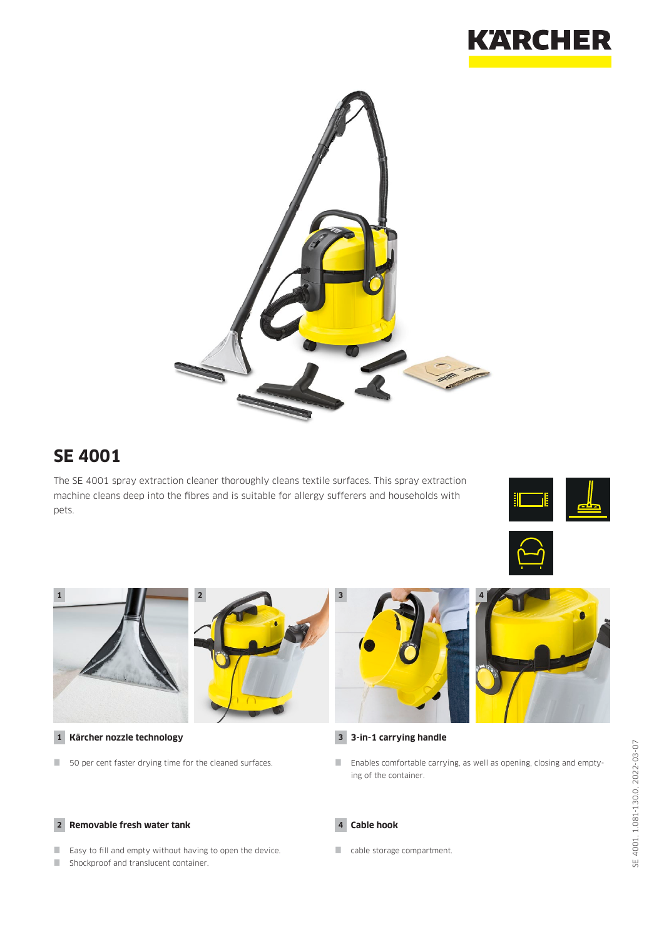



## **SE 4001**

The SE 4001 spray extraction cleaner thoroughly cleans textile surfaces. This spray extraction machine cleans deep into the fibres and is suitable for allergy sufferers and households with pets.









**1 Kärcher nozzle technology**

50 per cent faster drying time for the cleaned surfaces.



## **3 3-in-1 carrying handle**

 Enables comfortable carrying, as well as opening, closing and emptying of the container.

### **2 Removable fresh water tank**

- Easy to fill and empty without having to open the device.
- Shockproof and translucent container.

#### **4 Cable hook**

cable storage compartment.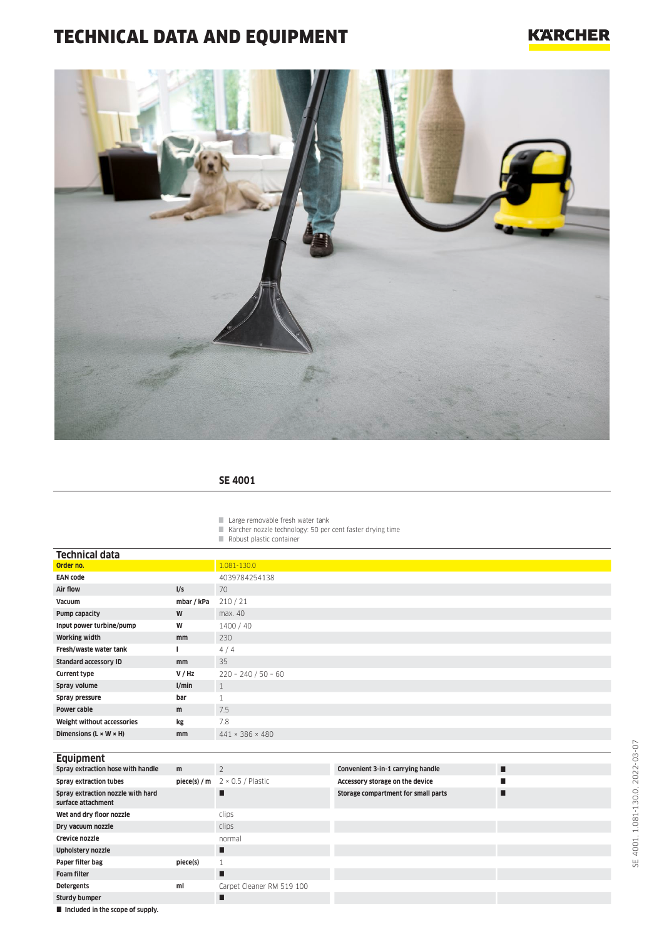# TECHNICAL DATA AND EQUIPMENT

## **KARCHER**



### **SE 4001**

Large removable fresh water tank

Kärcher nozzle technology: 50 per cent faster drying time

Robust plastic container

|  |  | Equipment |  |
|--|--|-----------|--|
|  |  |           |  |
|  |  |           |  |

| <b>EQUIPRIES</b>                                        |          |                                              |                                     |   |
|---------------------------------------------------------|----------|----------------------------------------------|-------------------------------------|---|
| Spray extraction hose with handle                       | m        | $\overline{2}$                               | Convenient 3-in-1 carrying handle   | П |
| <b>Spray extraction tubes</b>                           |          | <b>piece(s) / m</b> $2 \times 0.5$ / Plastic | Accessory storage on the device     |   |
| Spray extraction nozzle with hard<br>surface attachment |          |                                              | Storage compartment for small parts | ш |
| Wet and dry floor nozzle                                |          | clips                                        |                                     |   |
| Dry vacuum nozzle                                       |          | clips                                        |                                     |   |
| Crevice nozzle                                          |          | normal                                       |                                     |   |
| Upholstery nozzle                                       |          | П                                            |                                     |   |
| Paper filter bag                                        | piece(s) |                                              |                                     |   |
| <b>Foam filter</b>                                      |          | ■                                            |                                     |   |
| <b>Detergents</b>                                       | ml       | Carpet Cleaner RM 519 100                    |                                     |   |
| Sturdy bumper                                           |          |                                              |                                     |   |
| ■ the about and the Alan and and a computer.            |          |                                              |                                     |   |

 $\blacksquare$  Included in the scope of supply.